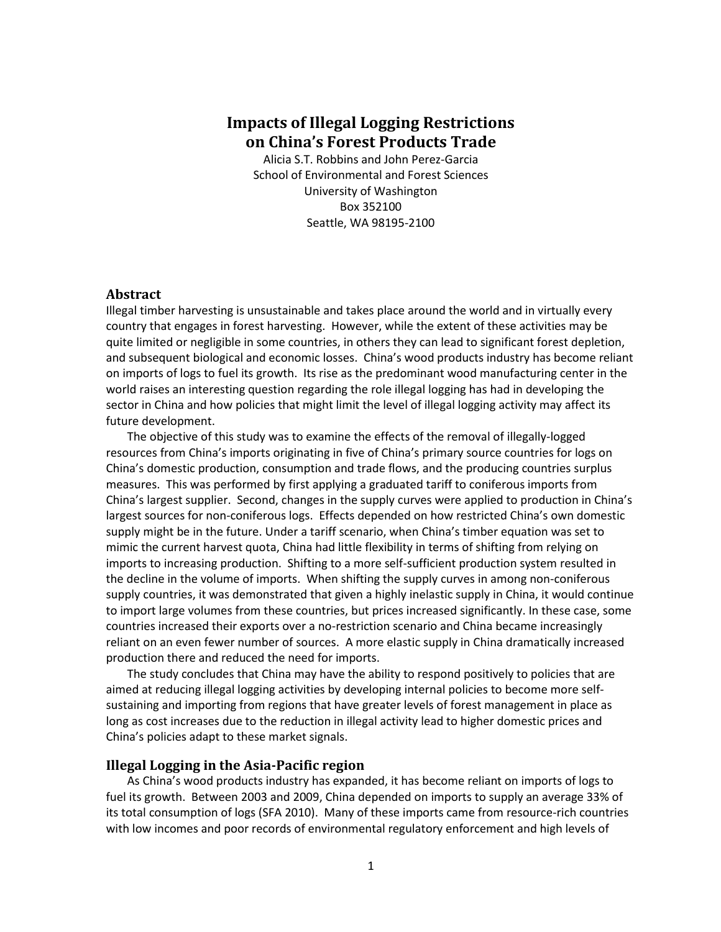# **Impacts of Illegal Logging Restrictions on China's Forest Products Trade**

Alicia S.T. Robbins and John Perez-Garcia School of Environmental and Forest Sciences University of Washington Box 352100 Seattle, WA 98195-2100

#### **Abstract**

Illegal timber harvesting is unsustainable and takes place around the world and in virtually every country that engages in forest harvesting. However, while the extent of these activities may be quite limited or negligible in some countries, in others they can lead to significant forest depletion, and subsequent biological and economic losses. China's wood products industry has become reliant on imports of logs to fuel its growth. Its rise as the predominant wood manufacturing center in the world raises an interesting question regarding the role illegal logging has had in developing the sector in China and how policies that might limit the level of illegal logging activity may affect its future development.

The objective of this study was to examine the effects of the removal of illegally-logged resources from China's imports originating in five of China's primary source countries for logs on China's domestic production, consumption and trade flows, and the producing countries surplus measures. This was performed by first applying a graduated tariff to coniferous imports from China's largest supplier. Second, changes in the supply curves were applied to production in China's largest sources for non-coniferous logs. Effects depended on how restricted China's own domestic supply might be in the future. Under a tariff scenario, when China's timber equation was set to mimic the current harvest quota, China had little flexibility in terms of shifting from relying on imports to increasing production. Shifting to a more self-sufficient production system resulted in the decline in the volume of imports. When shifting the supply curves in among non-coniferous supply countries, it was demonstrated that given a highly inelastic supply in China, it would continue to import large volumes from these countries, but prices increased significantly. In these case, some countries increased their exports over a no-restriction scenario and China became increasingly reliant on an even fewer number of sources. A more elastic supply in China dramatically increased production there and reduced the need for imports.

The study concludes that China may have the ability to respond positively to policies that are aimed at reducing illegal logging activities by developing internal policies to become more selfsustaining and importing from regions that have greater levels of forest management in place as long as cost increases due to the reduction in illegal activity lead to higher domestic prices and China's policies adapt to these market signals.

#### **Illegal Logging in the Asia-Pacific region**

As China's wood products industry has expanded, it has become reliant on imports of logs to fuel its growth. Between 2003 and 2009, China depended on imports to supply an average 33% of its total consumption of logs (SFA 2010). Many of these imports came from resource-rich countries with low incomes and poor records of environmental regulatory enforcement and high levels of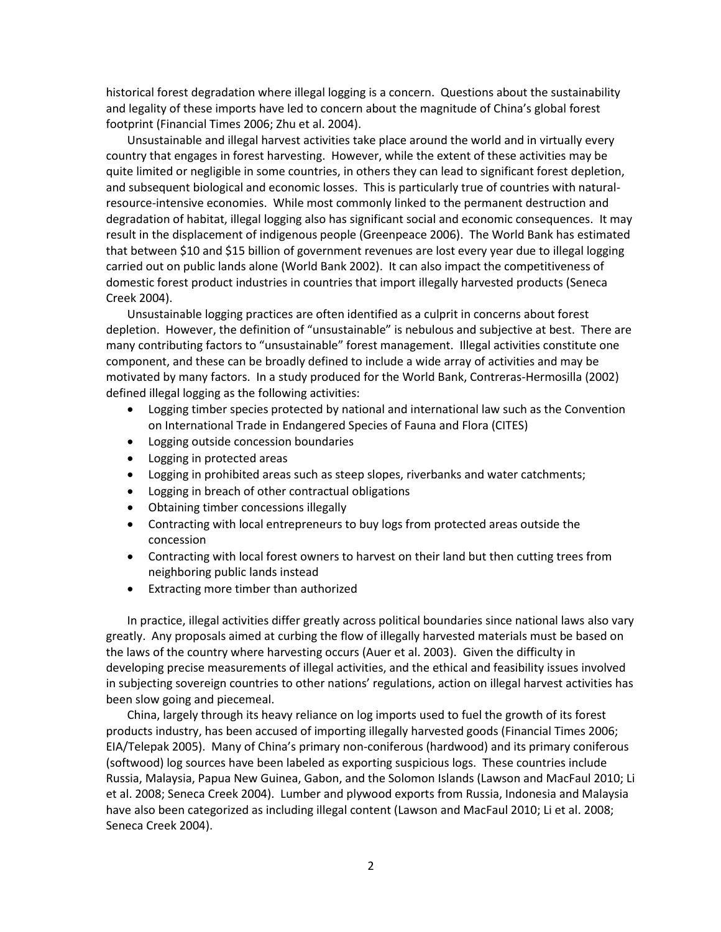historical forest degradation where illegal logging is a concern. Questions about the sustainability and legality of these imports have led to concern about the magnitude of China's global forest footprint (Financial Times 2006; Zhu et al. 2004).

Unsustainable and illegal harvest activities take place around the world and in virtually every country that engages in forest harvesting. However, while the extent of these activities may be quite limited or negligible in some countries, in others they can lead to significant forest depletion, and subsequent biological and economic losses. This is particularly true of countries with naturalresource-intensive economies. While most commonly linked to the permanent destruction and degradation of habitat, illegal logging also has significant social and economic consequences. It may result in the displacement of indigenous people (Greenpeace 2006). The World Bank has estimated that between \$10 and \$15 billion of government revenues are lost every year due to illegal logging carried out on public lands alone (World Bank 2002). It can also impact the competitiveness of domestic forest product industries in countries that import illegally harvested products (Seneca Creek 2004).

Unsustainable logging practices are often identified as a culprit in concerns about forest depletion. However, the definition of "unsustainable" is nebulous and subjective at best. There are many contributing factors to "unsustainable" forest management. Illegal activities constitute one component, and these can be broadly defined to include a wide array of activities and may be motivated by many factors. In a study produced for the World Bank, Contreras-Hermosilla (2002) defined illegal logging as the following activities:

- Logging timber species protected by national and international law such as the Convention on International Trade in Endangered Species of Fauna and Flora (CITES)
- Logging outside concession boundaries
- Logging in protected areas
- Logging in prohibited areas such as steep slopes, riverbanks and water catchments;
- Logging in breach of other contractual obligations
- Obtaining timber concessions illegally
- Contracting with local entrepreneurs to buy logs from protected areas outside the concession
- Contracting with local forest owners to harvest on their land but then cutting trees from neighboring public lands instead
- Extracting more timber than authorized

In practice, illegal activities differ greatly across political boundaries since national laws also vary greatly. Any proposals aimed at curbing the flow of illegally harvested materials must be based on the laws of the country where harvesting occurs (Auer et al. 2003). Given the difficulty in developing precise measurements of illegal activities, and the ethical and feasibility issues involved in subjecting sovereign countries to other nations' regulations, action on illegal harvest activities has been slow going and piecemeal.

China, largely through its heavy reliance on log imports used to fuel the growth of its forest products industry, has been accused of importing illegally harvested goods (Financial Times 2006; EIA/Telepak 2005). Many of China's primary non-coniferous (hardwood) and its primary coniferous (softwood) log sources have been labeled as exporting suspicious logs. These countries include Russia, Malaysia, Papua New Guinea, Gabon, and the Solomon Islands (Lawson and MacFaul 2010; Li et al. 2008; Seneca Creek 2004). Lumber and plywood exports from Russia, Indonesia and Malaysia have also been categorized as including illegal content (Lawson and MacFaul 2010; Li et al. 2008; Seneca Creek 2004).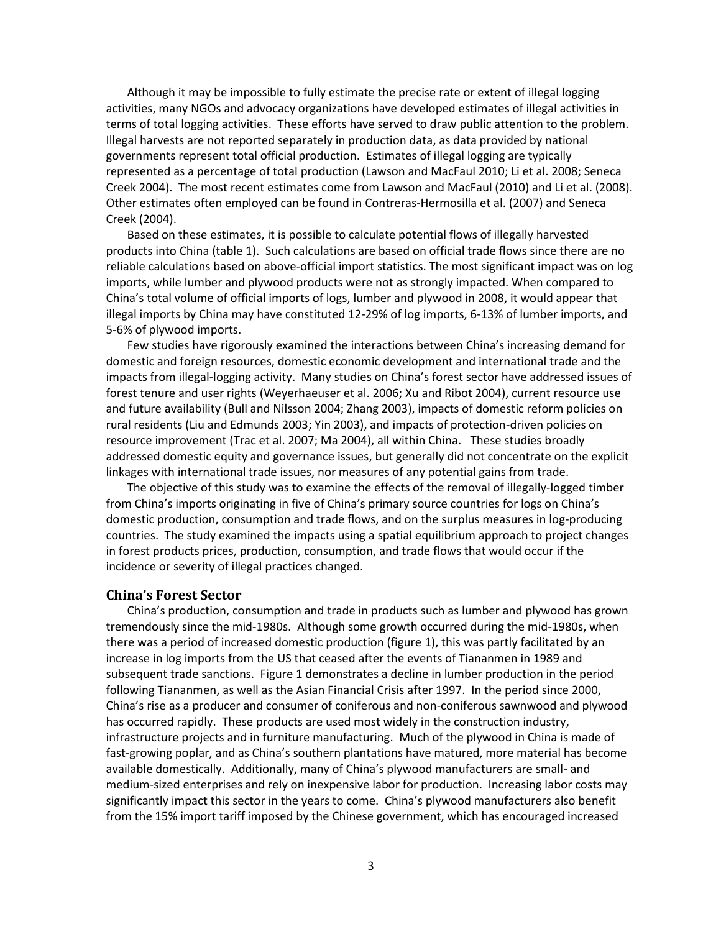Although it may be impossible to fully estimate the precise rate or extent of illegal logging activities, many NGOs and advocacy organizations have developed estimates of illegal activities in terms of total logging activities. These efforts have served to draw public attention to the problem. Illegal harvests are not reported separately in production data, as data provided by national governments represent total official production. Estimates of illegal logging are typically represented as a percentage of total production (Lawson and MacFaul 2010; Li et al. 2008; Seneca Creek 2004). The most recent estimates come from Lawson and MacFaul (2010) and Li et al. (2008). Other estimates often employed can be found in Contreras-Hermosilla et al. (2007) and Seneca Creek (2004).

Based on these estimates, it is possible to calculate potential flows of illegally harvested products into China (table 1). Such calculations are based on official trade flows since there are no reliable calculations based on above-official import statistics. The most significant impact was on log imports, while lumber and plywood products were not as strongly impacted. When compared to China's total volume of official imports of logs, lumber and plywood in 2008, it would appear that illegal imports by China may have constituted 12-29% of log imports, 6-13% of lumber imports, and 5-6% of plywood imports.

Few studies have rigorously examined the interactions between China's increasing demand for domestic and foreign resources, domestic economic development and international trade and the impacts from illegal-logging activity. Many studies on China's forest sector have addressed issues of forest tenure and user rights (Weyerhaeuser et al. 2006; Xu and Ribot 2004), current resource use and future availability (Bull and Nilsson 2004; Zhang 2003), impacts of domestic reform policies on rural residents (Liu and Edmunds 2003; Yin 2003), and impacts of protection-driven policies on resource improvement (Trac et al. 2007; Ma 2004), all within China. These studies broadly addressed domestic equity and governance issues, but generally did not concentrate on the explicit linkages with international trade issues, nor measures of any potential gains from trade.

The objective of this study was to examine the effects of the removal of illegally-logged timber from China's imports originating in five of China's primary source countries for logs on China's domestic production, consumption and trade flows, and on the surplus measures in log-producing countries. The study examined the impacts using a spatial equilibrium approach to project changes in forest products prices, production, consumption, and trade flows that would occur if the incidence or severity of illegal practices changed.

#### **China's Forest Sector**

China's production, consumption and trade in products such as lumber and plywood has grown tremendously since the mid-1980s. Although some growth occurred during the mid-1980s, when there was a period of increased domestic production (figure 1), this was partly facilitated by an increase in log imports from the US that ceased after the events of Tiananmen in 1989 and subsequent trade sanctions. Figure 1 demonstrates a decline in lumber production in the period following Tiananmen, as well as the Asian Financial Crisis after 1997. In the period since 2000, China's rise as a producer and consumer of coniferous and non-coniferous sawnwood and plywood has occurred rapidly. These products are used most widely in the construction industry, infrastructure projects and in furniture manufacturing. Much of the plywood in China is made of fast-growing poplar, and as China's southern plantations have matured, more material has become available domestically. Additionally, many of China's plywood manufacturers are small- and medium-sized enterprises and rely on inexpensive labor for production. Increasing labor costs may significantly impact this sector in the years to come. China's plywood manufacturers also benefit from the 15% import tariff imposed by the Chinese government, which has encouraged increased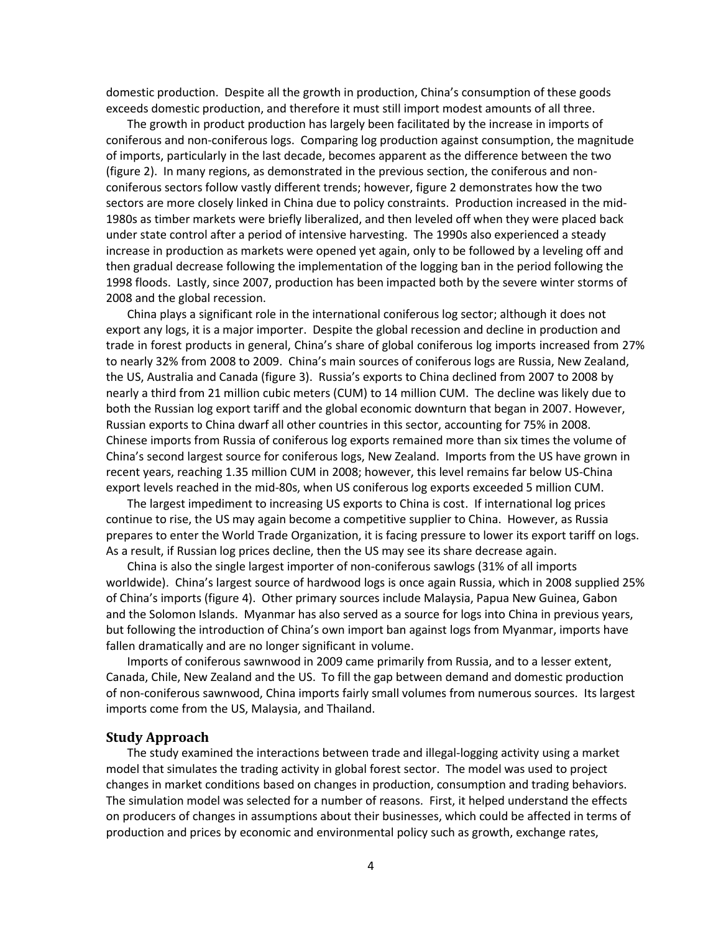domestic production. Despite all the growth in production, China's consumption of these goods exceeds domestic production, and therefore it must still import modest amounts of all three.

The growth in product production has largely been facilitated by the increase in imports of coniferous and non-coniferous logs. Comparing log production against consumption, the magnitude of imports, particularly in the last decade, becomes apparent as the difference between the two (figure 2). In many regions, as demonstrated in the previous section, the coniferous and nonconiferous sectors follow vastly different trends; however, figure 2 demonstrates how the two sectors are more closely linked in China due to policy constraints. Production increased in the mid-1980s as timber markets were briefly liberalized, and then leveled off when they were placed back under state control after a period of intensive harvesting. The 1990s also experienced a steady increase in production as markets were opened yet again, only to be followed by a leveling off and then gradual decrease following the implementation of the logging ban in the period following the 1998 floods. Lastly, since 2007, production has been impacted both by the severe winter storms of 2008 and the global recession.

China plays a significant role in the international coniferous log sector; although it does not export any logs, it is a major importer. Despite the global recession and decline in production and trade in forest products in general, China's share of global coniferous log imports increased from 27% to nearly 32% from 2008 to 2009. China's main sources of coniferous logs are Russia, New Zealand, the US, Australia and Canada (figure 3). Russia's exports to China declined from 2007 to 2008 by nearly a third from 21 million cubic meters (CUM) to 14 million CUM. The decline was likely due to both the Russian log export tariff and the global economic downturn that began in 2007. However, Russian exports to China dwarf all other countries in this sector, accounting for 75% in 2008. Chinese imports from Russia of coniferous log exports remained more than six times the volume of China's second largest source for coniferous logs, New Zealand. Imports from the US have grown in recent years, reaching 1.35 million CUM in 2008; however, this level remains far below US-China export levels reached in the mid-80s, when US coniferous log exports exceeded 5 million CUM.

The largest impediment to increasing US exports to China is cost. If international log prices continue to rise, the US may again become a competitive supplier to China. However, as Russia prepares to enter the World Trade Organization, it is facing pressure to lower its export tariff on logs. As a result, if Russian log prices decline, then the US may see its share decrease again.

China is also the single largest importer of non-coniferous sawlogs (31% of all imports worldwide). China's largest source of hardwood logs is once again Russia, which in 2008 supplied 25% of China's imports (figure 4). Other primary sources include Malaysia, Papua New Guinea, Gabon and the Solomon Islands. Myanmar has also served as a source for logs into China in previous years, but following the introduction of China's own import ban against logs from Myanmar, imports have fallen dramatically and are no longer significant in volume.

Imports of coniferous sawnwood in 2009 came primarily from Russia, and to a lesser extent, Canada, Chile, New Zealand and the US. To fill the gap between demand and domestic production of non-coniferous sawnwood, China imports fairly small volumes from numerous sources. Its largest imports come from the US, Malaysia, and Thailand.

#### **Study Approach**

The study examined the interactions between trade and illegal-logging activity using a market model that simulates the trading activity in global forest sector. The model was used to project changes in market conditions based on changes in production, consumption and trading behaviors. The simulation model was selected for a number of reasons. First, it helped understand the effects on producers of changes in assumptions about their businesses, which could be affected in terms of production and prices by economic and environmental policy such as growth, exchange rates,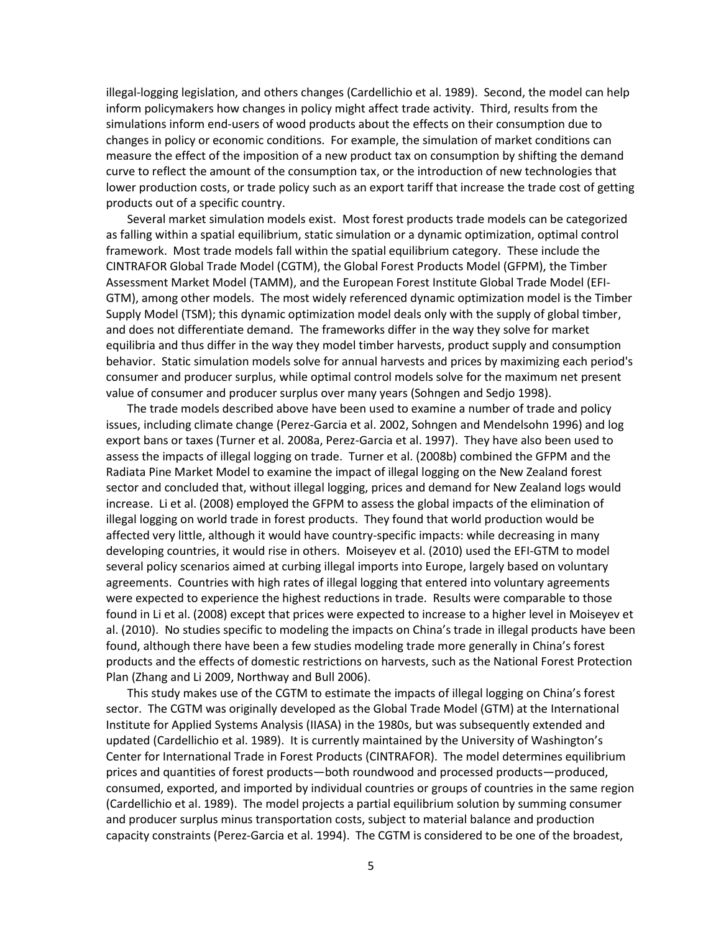illegal-logging legislation, and others changes (Cardellichio et al. 1989). Second, the model can help inform policymakers how changes in policy might affect trade activity. Third, results from the simulations inform end-users of wood products about the effects on their consumption due to changes in policy or economic conditions. For example, the simulation of market conditions can measure the effect of the imposition of a new product tax on consumption by shifting the demand curve to reflect the amount of the consumption tax, or the introduction of new technologies that lower production costs, or trade policy such as an export tariff that increase the trade cost of getting products out of a specific country.

Several market simulation models exist. Most forest products trade models can be categorized as falling within a spatial equilibrium, static simulation or a dynamic optimization, optimal control framework. Most trade models fall within the spatial equilibrium category. These include the CINTRAFOR Global Trade Model (CGTM), the Global Forest Products Model (GFPM), the Timber Assessment Market Model (TAMM), and the European Forest Institute Global Trade Model (EFI-GTM), among other models. The most widely referenced dynamic optimization model is the Timber Supply Model (TSM); this dynamic optimization model deals only with the supply of global timber, and does not differentiate demand. The frameworks differ in the way they solve for market equilibria and thus differ in the way they model timber harvests, product supply and consumption behavior. Static simulation models solve for annual harvests and prices by maximizing each period's consumer and producer surplus, while optimal control models solve for the maximum net present value of consumer and producer surplus over many years (Sohngen and Sedjo 1998).

The trade models described above have been used to examine a number of trade and policy issues, including climate change (Perez-Garcia et al. 2002, Sohngen and Mendelsohn 1996) and log export bans or taxes (Turner et al. 2008a, Perez-Garcia et al. 1997). They have also been used to assess the impacts of illegal logging on trade. Turner et al. (2008b) combined the GFPM and the Radiata Pine Market Model to examine the impact of illegal logging on the New Zealand forest sector and concluded that, without illegal logging, prices and demand for New Zealand logs would increase. Li et al. (2008) employed the GFPM to assess the global impacts of the elimination of illegal logging on world trade in forest products. They found that world production would be affected very little, although it would have country-specific impacts: while decreasing in many developing countries, it would rise in others. Moiseyev et al. (2010) used the EFI-GTM to model several policy scenarios aimed at curbing illegal imports into Europe, largely based on voluntary agreements. Countries with high rates of illegal logging that entered into voluntary agreements were expected to experience the highest reductions in trade. Results were comparable to those found in Li et al. (2008) except that prices were expected to increase to a higher level in Moiseyev et al. (2010). No studies specific to modeling the impacts on China's trade in illegal products have been found, although there have been a few studies modeling trade more generally in China's forest products and the effects of domestic restrictions on harvests, such as the National Forest Protection Plan (Zhang and Li 2009, Northway and Bull 2006).

This study makes use of the CGTM to estimate the impacts of illegal logging on China's forest sector. The CGTM was originally developed as the Global Trade Model (GTM) at the International Institute for Applied Systems Analysis (IIASA) in the 1980s, but was subsequently extended and updated (Cardellichio et al. 1989). It is currently maintained by the University of Washington's Center for International Trade in Forest Products (CINTRAFOR). The model determines equilibrium prices and quantities of forest products—both roundwood and processed products—produced, consumed, exported, and imported by individual countries or groups of countries in the same region (Cardellichio et al. 1989). The model projects a partial equilibrium solution by summing consumer and producer surplus minus transportation costs, subject to material balance and production capacity constraints (Perez-Garcia et al. 1994). The CGTM is considered to be one of the broadest,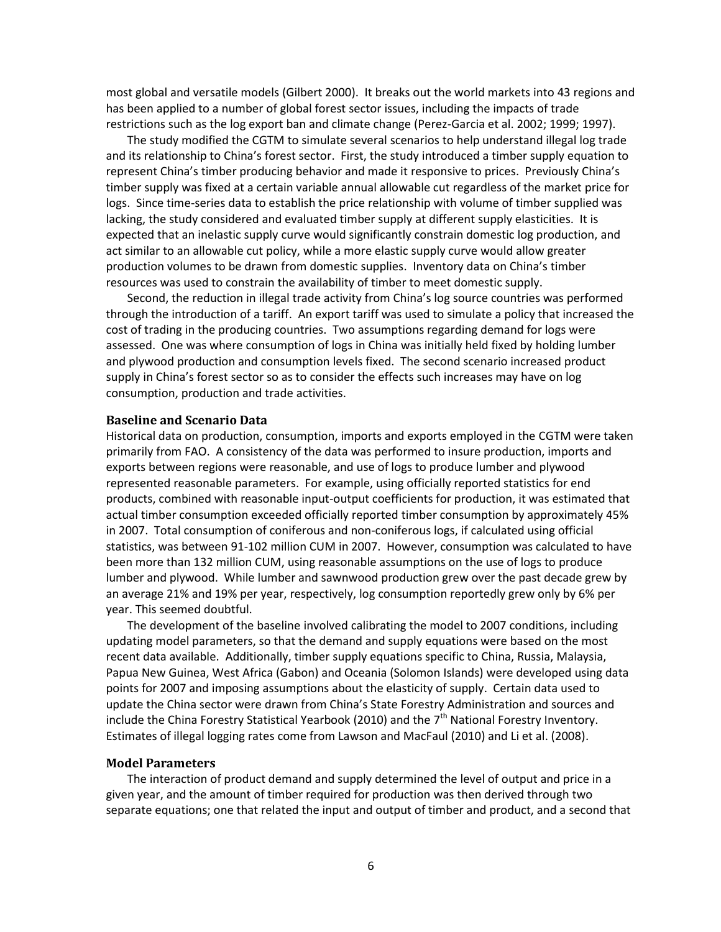most global and versatile models (Gilbert 2000). It breaks out the world markets into 43 regions and has been applied to a number of global forest sector issues, including the impacts of trade restrictions such as the log export ban and climate change (Perez-Garcia et al. 2002; 1999; 1997).

The study modified the CGTM to simulate several scenarios to help understand illegal log trade and its relationship to China's forest sector. First, the study introduced a timber supply equation to represent China's timber producing behavior and made it responsive to prices. Previously China's timber supply was fixed at a certain variable annual allowable cut regardless of the market price for logs. Since time-series data to establish the price relationship with volume of timber supplied was lacking, the study considered and evaluated timber supply at different supply elasticities. It is expected that an inelastic supply curve would significantly constrain domestic log production, and act similar to an allowable cut policy, while a more elastic supply curve would allow greater production volumes to be drawn from domestic supplies. Inventory data on China's timber resources was used to constrain the availability of timber to meet domestic supply.

Second, the reduction in illegal trade activity from China's log source countries was performed through the introduction of a tariff. An export tariff was used to simulate a policy that increased the cost of trading in the producing countries. Two assumptions regarding demand for logs were assessed. One was where consumption of logs in China was initially held fixed by holding lumber and plywood production and consumption levels fixed. The second scenario increased product supply in China's forest sector so as to consider the effects such increases may have on log consumption, production and trade activities.

#### **Baseline and Scenario Data**

Historical data on production, consumption, imports and exports employed in the CGTM were taken primarily from FAO. A consistency of the data was performed to insure production, imports and exports between regions were reasonable, and use of logs to produce lumber and plywood represented reasonable parameters. For example, using officially reported statistics for end products, combined with reasonable input-output coefficients for production, it was estimated that actual timber consumption exceeded officially reported timber consumption by approximately 45% in 2007. Total consumption of coniferous and non-coniferous logs, if calculated using official statistics, was between 91-102 million CUM in 2007. However, consumption was calculated to have been more than 132 million CUM, using reasonable assumptions on the use of logs to produce lumber and plywood. While lumber and sawnwood production grew over the past decade grew by an average 21% and 19% per year, respectively, log consumption reportedly grew only by 6% per year. This seemed doubtful.

The development of the baseline involved calibrating the model to 2007 conditions, including updating model parameters, so that the demand and supply equations were based on the most recent data available. Additionally, timber supply equations specific to China, Russia, Malaysia, Papua New Guinea, West Africa (Gabon) and Oceania (Solomon Islands) were developed using data points for 2007 and imposing assumptions about the elasticity of supply. Certain data used to update the China sector were drawn from China's State Forestry Administration and sources and include the China Forestry Statistical Yearbook (2010) and the  $7<sup>th</sup>$  National Forestry Inventory. Estimates of illegal logging rates come from Lawson and MacFaul (2010) and Li et al. (2008).

#### **Model Parameters**

The interaction of product demand and supply determined the level of output and price in a given year, and the amount of timber required for production was then derived through two separate equations; one that related the input and output of timber and product, and a second that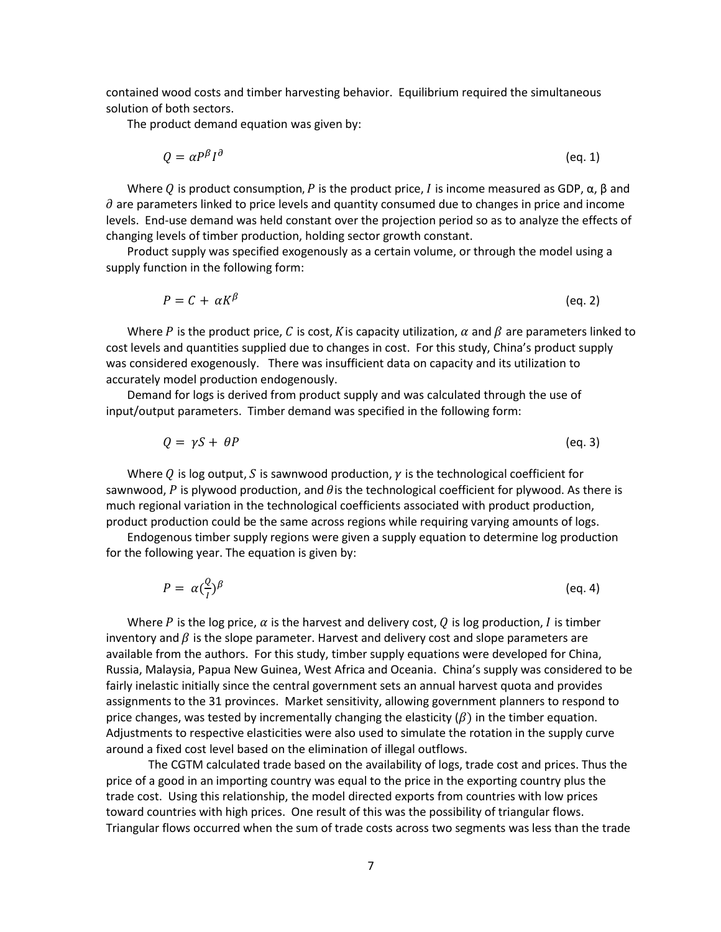contained wood costs and timber harvesting behavior. Equilibrium required the simultaneous solution of both sectors.

The product demand equation was given by:

$$
Q = \alpha P^{\beta} I^{\partial} \tag{eq. 1}
$$

Where Q is product consumption, P is the product price, I is income measured as GDP,  $\alpha$ , β and  $\partial$  are parameters linked to price levels and quantity consumed due to changes in price and income levels. End-use demand was held constant over the projection period so as to analyze the effects of changing levels of timber production, holding sector growth constant.

Product supply was specified exogenously as a certain volume, or through the model using a supply function in the following form:

$$
P = C + \alpha K^{\beta} \tag{eq.2}
$$

Where P is the product price, C is cost, K is capacity utilization,  $\alpha$  and  $\beta$  are parameters linked to cost levels and quantities supplied due to changes in cost. For this study, China's product supply was considered exogenously. There was insufficient data on capacity and its utilization to accurately model production endogenously.

Demand for logs is derived from product supply and was calculated through the use of input/output parameters. Timber demand was specified in the following form:

 $Q = \gamma S + \theta P$  (eq. 3)

Where Q is log output, S is sawnwood production,  $\gamma$  is the technological coefficient for sawnwood, P is plywood production, and  $\theta$  is the technological coefficient for plywood. As there is much regional variation in the technological coefficients associated with product production, product production could be the same across regions while requiring varying amounts of logs.

Endogenous timber supply regions were given a supply equation to determine log production for the following year. The equation is given by:

$$
P = \alpha \left(\frac{Q}{I}\right)^{\beta} \tag{eq.4}
$$

Where P is the log price,  $\alpha$  is the harvest and delivery cost, Q is log production, I is timber inventory and  $\beta$  is the slope parameter. Harvest and delivery cost and slope parameters are available from the authors. For this study, timber supply equations were developed for China, Russia, Malaysia, Papua New Guinea, West Africa and Oceania. China's supply was considered to be fairly inelastic initially since the central government sets an annual harvest quota and provides assignments to the 31 provinces. Market sensitivity, allowing government planners to respond to price changes, was tested by incrementally changing the elasticity  $(\beta)$  in the timber equation. Adjustments to respective elasticities were also used to simulate the rotation in the supply curve around a fixed cost level based on the elimination of illegal outflows.

The CGTM calculated trade based on the availability of logs, trade cost and prices. Thus the price of a good in an importing country was equal to the price in the exporting country plus the trade cost. Using this relationship, the model directed exports from countries with low prices toward countries with high prices. One result of this was the possibility of triangular flows. Triangular flows occurred when the sum of trade costs across two segments was less than the trade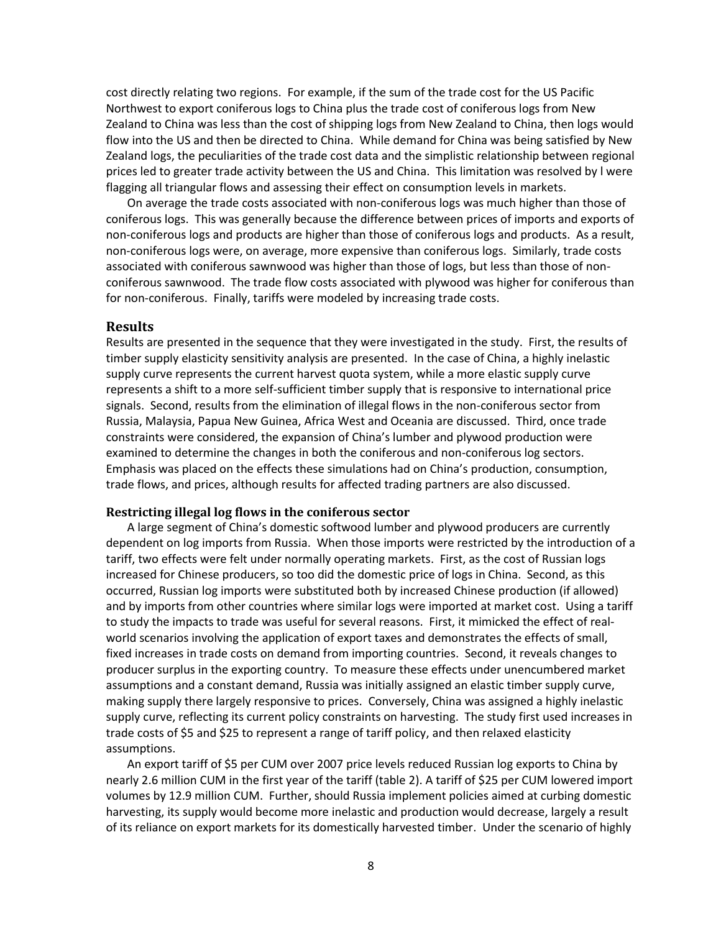cost directly relating two regions. For example, if the sum of the trade cost for the US Pacific Northwest to export coniferous logs to China plus the trade cost of coniferous logs from New Zealand to China was less than the cost of shipping logs from New Zealand to China, then logs would flow into the US and then be directed to China. While demand for China was being satisfied by New Zealand logs, the peculiarities of the trade cost data and the simplistic relationship between regional prices led to greater trade activity between the US and China. This limitation was resolved by l were flagging all triangular flows and assessing their effect on consumption levels in markets.

On average the trade costs associated with non-coniferous logs was much higher than those of coniferous logs. This was generally because the difference between prices of imports and exports of non-coniferous logs and products are higher than those of coniferous logs and products. As a result, non-coniferous logs were, on average, more expensive than coniferous logs. Similarly, trade costs associated with coniferous sawnwood was higher than those of logs, but less than those of nonconiferous sawnwood. The trade flow costs associated with plywood was higher for coniferous than for non-coniferous. Finally, tariffs were modeled by increasing trade costs.

#### **Results**

Results are presented in the sequence that they were investigated in the study. First, the results of timber supply elasticity sensitivity analysis are presented. In the case of China, a highly inelastic supply curve represents the current harvest quota system, while a more elastic supply curve represents a shift to a more self-sufficient timber supply that is responsive to international price signals. Second, results from the elimination of illegal flows in the non-coniferous sector from Russia, Malaysia, Papua New Guinea, Africa West and Oceania are discussed. Third, once trade constraints were considered, the expansion of China's lumber and plywood production were examined to determine the changes in both the coniferous and non-coniferous log sectors. Emphasis was placed on the effects these simulations had on China's production, consumption, trade flows, and prices, although results for affected trading partners are also discussed.

#### **Restricting illegal log flows in the coniferous sector**

A large segment of China's domestic softwood lumber and plywood producers are currently dependent on log imports from Russia. When those imports were restricted by the introduction of a tariff, two effects were felt under normally operating markets. First, as the cost of Russian logs increased for Chinese producers, so too did the domestic price of logs in China. Second, as this occurred, Russian log imports were substituted both by increased Chinese production (if allowed) and by imports from other countries where similar logs were imported at market cost. Using a tariff to study the impacts to trade was useful for several reasons. First, it mimicked the effect of realworld scenarios involving the application of export taxes and demonstrates the effects of small, fixed increases in trade costs on demand from importing countries. Second, it reveals changes to producer surplus in the exporting country. To measure these effects under unencumbered market assumptions and a constant demand, Russia was initially assigned an elastic timber supply curve, making supply there largely responsive to prices. Conversely, China was assigned a highly inelastic supply curve, reflecting its current policy constraints on harvesting. The study first used increases in trade costs of \$5 and \$25 to represent a range of tariff policy, and then relaxed elasticity assumptions.

An export tariff of \$5 per CUM over 2007 price levels reduced Russian log exports to China by nearly 2.6 million CUM in the first year of the tariff (table 2). A tariff of \$25 per CUM lowered import volumes by 12.9 million CUM. Further, should Russia implement policies aimed at curbing domestic harvesting, its supply would become more inelastic and production would decrease, largely a result of its reliance on export markets for its domestically harvested timber. Under the scenario of highly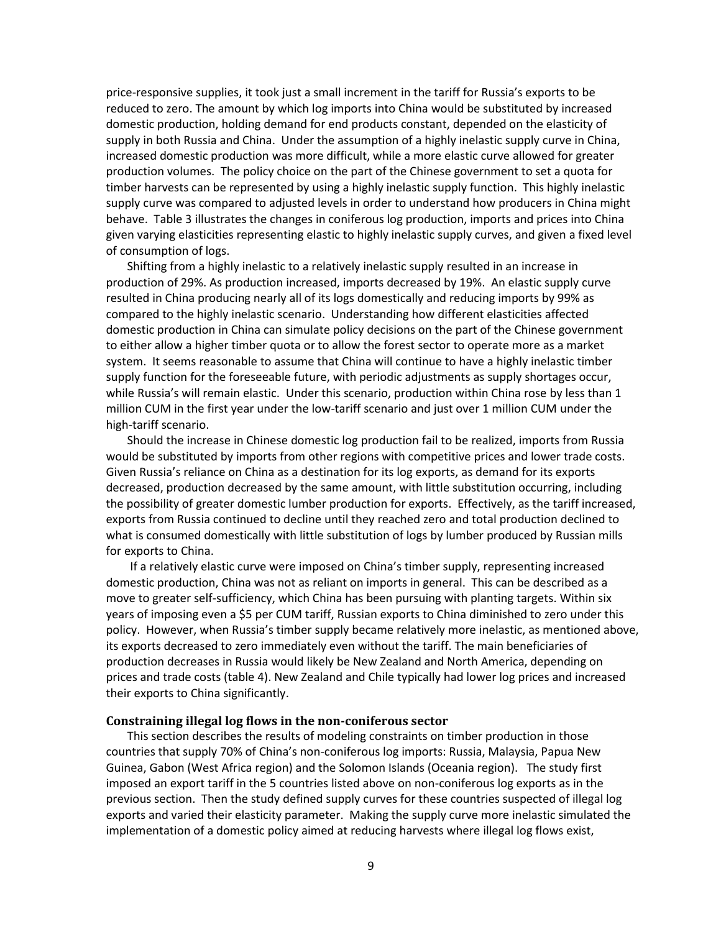price-responsive supplies, it took just a small increment in the tariff for Russia's exports to be reduced to zero. The amount by which log imports into China would be substituted by increased domestic production, holding demand for end products constant, depended on the elasticity of supply in both Russia and China. Under the assumption of a highly inelastic supply curve in China, increased domestic production was more difficult, while a more elastic curve allowed for greater production volumes. The policy choice on the part of the Chinese government to set a quota for timber harvests can be represented by using a highly inelastic supply function. This highly inelastic supply curve was compared to adjusted levels in order to understand how producers in China might behave. Table 3 illustrates the changes in coniferous log production, imports and prices into China given varying elasticities representing elastic to highly inelastic supply curves, and given a fixed level of consumption of logs.

Shifting from a highly inelastic to a relatively inelastic supply resulted in an increase in production of 29%. As production increased, imports decreased by 19%. An elastic supply curve resulted in China producing nearly all of its logs domestically and reducing imports by 99% as compared to the highly inelastic scenario. Understanding how different elasticities affected domestic production in China can simulate policy decisions on the part of the Chinese government to either allow a higher timber quota or to allow the forest sector to operate more as a market system. It seems reasonable to assume that China will continue to have a highly inelastic timber supply function for the foreseeable future, with periodic adjustments as supply shortages occur, while Russia's will remain elastic. Under this scenario, production within China rose by less than 1 million CUM in the first year under the low-tariff scenario and just over 1 million CUM under the high-tariff scenario.

Should the increase in Chinese domestic log production fail to be realized, imports from Russia would be substituted by imports from other regions with competitive prices and lower trade costs. Given Russia's reliance on China as a destination for its log exports, as demand for its exports decreased, production decreased by the same amount, with little substitution occurring, including the possibility of greater domestic lumber production for exports. Effectively, as the tariff increased, exports from Russia continued to decline until they reached zero and total production declined to what is consumed domestically with little substitution of logs by lumber produced by Russian mills for exports to China.

If a relatively elastic curve were imposed on China's timber supply, representing increased domestic production, China was not as reliant on imports in general. This can be described as a move to greater self-sufficiency, which China has been pursuing with planting targets. Within six years of imposing even a \$5 per CUM tariff, Russian exports to China diminished to zero under this policy. However, when Russia's timber supply became relatively more inelastic, as mentioned above, its exports decreased to zero immediately even without the tariff. The main beneficiaries of production decreases in Russia would likely be New Zealand and North America, depending on prices and trade costs (table 4). New Zealand and Chile typically had lower log prices and increased their exports to China significantly.

#### **Constraining illegal log flows in the non-coniferous sector**

This section describes the results of modeling constraints on timber production in those countries that supply 70% of China's non-coniferous log imports: Russia, Malaysia, Papua New Guinea, Gabon (West Africa region) and the Solomon Islands (Oceania region). The study first imposed an export tariff in the 5 countries listed above on non-coniferous log exports as in the previous section. Then the study defined supply curves for these countries suspected of illegal log exports and varied their elasticity parameter. Making the supply curve more inelastic simulated the implementation of a domestic policy aimed at reducing harvests where illegal log flows exist,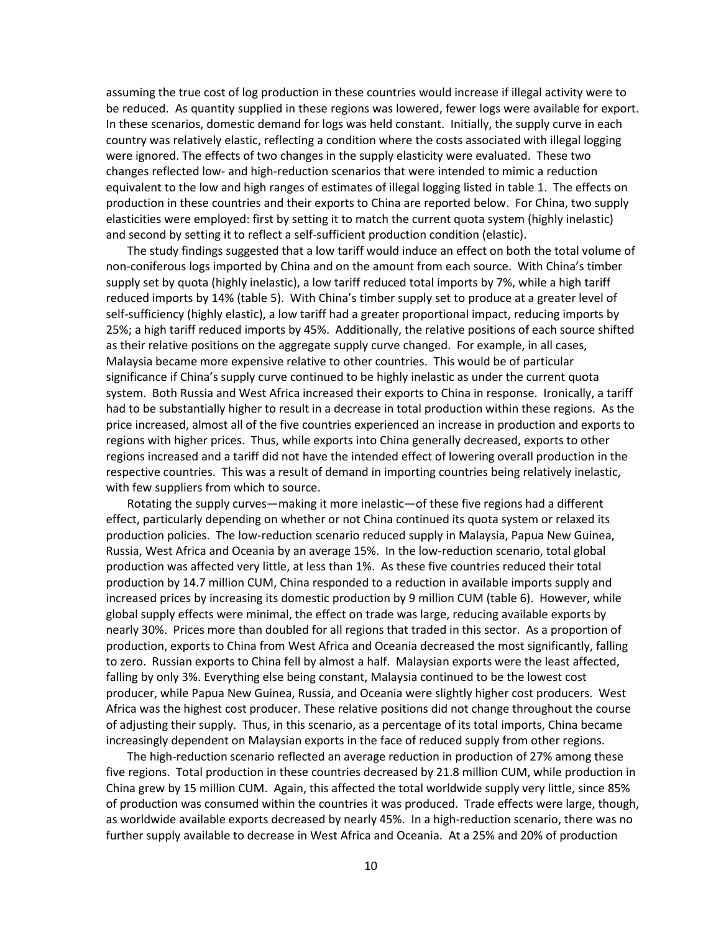assuming the true cost of log production in these countries would increase if illegal activity were to be reduced. As quantity supplied in these regions was lowered, fewer logs were available for export. In these scenarios, domestic demand for logs was held constant. Initially, the supply curve in each country was relatively elastic, reflecting a condition where the costs associated with illegal logging were ignored. The effects of two changes in the supply elasticity were evaluated. These two changes reflected low- and high-reduction scenarios that were intended to mimic a reduction equivalent to the low and high ranges of estimates of illegal logging listed in table 1. The effects on production in these countries and their exports to China are reported below. For China, two supply elasticities were employed: first by setting it to match the current quota system (highly inelastic) and second by setting it to reflect a self-sufficient production condition (elastic).

The study findings suggested that a low tariff would induce an effect on both the total volume of non-coniferous logs imported by China and on the amount from each source. With China's timber supply set by quota (highly inelastic), a low tariff reduced total imports by 7%, while a high tariff reduced imports by 14% (table 5). With China's timber supply set to produce at a greater level of self-sufficiency (highly elastic), a low tariff had a greater proportional impact, reducing imports by 25%; a high tariff reduced imports by 45%. Additionally, the relative positions of each source shifted as their relative positions on the aggregate supply curve changed. For example, in all cases, Malaysia became more expensive relative to other countries. This would be of particular significance if China's supply curve continued to be highly inelastic as under the current quota system. Both Russia and West Africa increased their exports to China in response. Ironically, a tariff had to be substantially higher to result in a decrease in total production within these regions. As the price increased, almost all of the five countries experienced an increase in production and exports to regions with higher prices. Thus, while exports into China generally decreased, exports to other regions increased and a tariff did not have the intended effect of lowering overall production in the respective countries. This was a result of demand in importing countries being relatively inelastic, with few suppliers from which to source.

Rotating the supply curves—making it more inelastic—of these five regions had a different effect, particularly depending on whether or not China continued its quota system or relaxed its production policies. The low-reduction scenario reduced supply in Malaysia, Papua New Guinea, Russia, West Africa and Oceania by an average 15%. In the low-reduction scenario, total global production was affected very little, at less than 1%. As these five countries reduced their total production by 14.7 million CUM, China responded to a reduction in available imports supply and increased prices by increasing its domestic production by 9 million CUM (table 6). However, while global supply effects were minimal, the effect on trade was large, reducing available exports by nearly 30%. Prices more than doubled for all regions that traded in this sector. As a proportion of production, exports to China from West Africa and Oceania decreased the most significantly, falling to zero. Russian exports to China fell by almost a half. Malaysian exports were the least affected, falling by only 3%. Everything else being constant, Malaysia continued to be the lowest cost producer, while Papua New Guinea, Russia, and Oceania were slightly higher cost producers. West Africa was the highest cost producer. These relative positions did not change throughout the course of adjusting their supply. Thus, in this scenario, as a percentage of its total imports, China became increasingly dependent on Malaysian exports in the face of reduced supply from other regions.

The high-reduction scenario reflected an average reduction in production of 27% among these five regions. Total production in these countries decreased by 21.8 million CUM, while production in China grew by 15 million CUM. Again, this affected the total worldwide supply very little, since 85% of production was consumed within the countries it was produced. Trade effects were large, though, as worldwide available exports decreased by nearly 45%. In a high-reduction scenario, there was no further supply available to decrease in West Africa and Oceania. At a 25% and 20% of production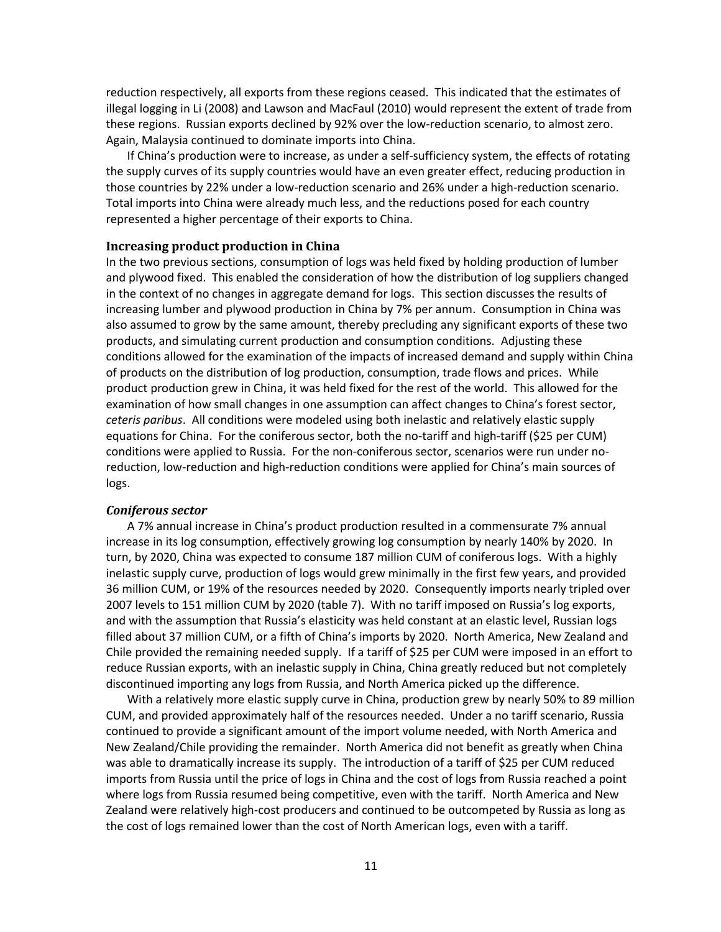reduction respectively, all exports from these regions ceased. This indicated that the estimates of illegal logging in Li (2008) and Lawson and MacFaul (2010) would represent the extent of trade from these regions. Russian exports declined by 92% over the low-reduction scenario, to almost zero. Again, Malaysia continued to dominate imports into China.

If China's production were to increase, as under a self-sufficiency system, the effects of rotating the supply curves of its supply countries would have an even greater effect, reducing production in those countries by 22% under a low-reduction scenario and 26% under a high-reduction scenario. Total imports into China were already much less, and the reductions posed for each country represented a higher percentage of their exports to China.

#### **Increasing product production in China**

In the two previous sections, consumption of logs was held fixed by holding production of lumber and plywood fixed. This enabled the consideration of how the distribution of log suppliers changed in the context of no changes in aggregate demand for logs. This section discusses the results of increasing lumber and plywood production in China by 7% per annum. Consumption in China was also assumed to grow by the same amount, thereby precluding any significant exports of these two products, and simulating current production and consumption conditions. Adjusting these conditions allowed for the examination of the impacts of increased demand and supply within China of products on the distribution of log production, consumption, trade flows and prices. While product production grew in China, it was held fixed for the rest of the world. This allowed for the examination of how small changes in one assumption can affect changes to China's forest sector, *ceteris paribus*. All conditions were modeled using both inelastic and relatively elastic supply equations for China. For the coniferous sector, both the no-tariff and high-tariff (\$25 per CUM) conditions were applied to Russia. For the non-coniferous sector, scenarios were run under noreduction, low-reduction and high-reduction conditions were applied for China's main sources of logs.

#### *Coniferous sector*

A 7% annual increase in China's product production resulted in a commensurate 7% annual increase in its log consumption, effectively growing log consumption by nearly 140% by 2020. In turn, by 2020, China was expected to consume 187 million CUM of coniferous logs. With a highly inelastic supply curve, production of logs would grew minimally in the first few years, and provided 36 million CUM, or 19% of the resources needed by 2020. Consequently imports nearly tripled over 2007 levels to 151 million CUM by 2020 (table 7). With no tariff imposed on Russia's log exports, and with the assumption that Russia's elasticity was held constant at an elastic level, Russian logs filled about 37 million CUM, or a fifth of China's imports by 2020. North America, New Zealand and Chile provided the remaining needed supply. If a tariff of \$25 per CUM were imposed in an effort to reduce Russian exports, with an inelastic supply in China, China greatly reduced but not completely discontinued importing any logs from Russia, and North America picked up the difference.

With a relatively more elastic supply curve in China, production grew by nearly 50% to 89 million CUM, and provided approximately half of the resources needed. Under a no tariff scenario, Russia continued to provide a significant amount of the import volume needed, with North America and New Zealand/Chile providing the remainder. North America did not benefit as greatly when China was able to dramatically increase its supply. The introduction of a tariff of \$25 per CUM reduced imports from Russia until the price of logs in China and the cost of logs from Russia reached a point where logs from Russia resumed being competitive, even with the tariff. North America and New Zealand were relatively high-cost producers and continued to be outcompeted by Russia as long as the cost of logs remained lower than the cost of North American logs, even with a tariff.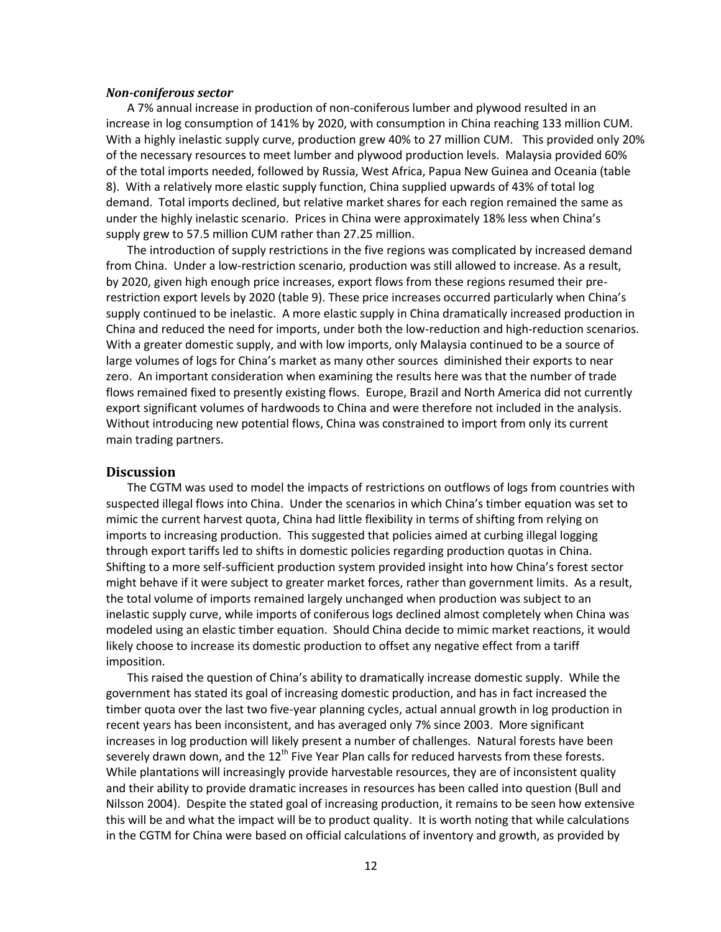#### *Non-coniferous sector*

A 7% annual increase in production of non-coniferous lumber and plywood resulted in an increase in log consumption of 141% by 2020, with consumption in China reaching 133 million CUM. With a highly inelastic supply curve, production grew 40% to 27 million CUM. This provided only 20% of the necessary resources to meet lumber and plywood production levels. Malaysia provided 60% of the total imports needed, followed by Russia, West Africa, Papua New Guinea and Oceania (table 8). With a relatively more elastic supply function, China supplied upwards of 43% of total log demand. Total imports declined, but relative market shares for each region remained the same as under the highly inelastic scenario. Prices in China were approximately 18% less when China's supply grew to 57.5 million CUM rather than 27.25 million.

The introduction of supply restrictions in the five regions was complicated by increased demand from China. Under a low-restriction scenario, production was still allowed to increase. As a result, by 2020, given high enough price increases, export flows from these regions resumed their prerestriction export levels by 2020 (table 9). These price increases occurred particularly when China's supply continued to be inelastic. A more elastic supply in China dramatically increased production in China and reduced the need for imports, under both the low-reduction and high-reduction scenarios. With a greater domestic supply, and with low imports, only Malaysia continued to be a source of large volumes of logs for China's market as many other sources diminished their exports to near zero. An important consideration when examining the results here was that the number of trade flows remained fixed to presently existing flows. Europe, Brazil and North America did not currently export significant volumes of hardwoods to China and were therefore not included in the analysis. Without introducing new potential flows, China was constrained to import from only its current main trading partners.

### **Discussion**

The CGTM was used to model the impacts of restrictions on outflows of logs from countries with suspected illegal flows into China. Under the scenarios in which China's timber equation was set to mimic the current harvest quota, China had little flexibility in terms of shifting from relying on imports to increasing production. This suggested that policies aimed at curbing illegal logging through export tariffs led to shifts in domestic policies regarding production quotas in China. Shifting to a more self-sufficient production system provided insight into how China's forest sector might behave if it were subject to greater market forces, rather than government limits. As a result, the total volume of imports remained largely unchanged when production was subject to an inelastic supply curve, while imports of coniferous logs declined almost completely when China was modeled using an elastic timber equation. Should China decide to mimic market reactions, it would likely choose to increase its domestic production to offset any negative effect from a tariff imposition.

This raised the question of China's ability to dramatically increase domestic supply. While the government has stated its goal of increasing domestic production, and has in fact increased the timber quota over the last two five-year planning cycles, actual annual growth in log production in recent years has been inconsistent, and has averaged only 7% since 2003. More significant increases in log production will likely present a number of challenges. Natural forests have been severely drawn down, and the  $12<sup>th</sup>$  Five Year Plan calls for reduced harvests from these forests. While plantations will increasingly provide harvestable resources, they are of inconsistent quality and their ability to provide dramatic increases in resources has been called into question (Bull and Nilsson 2004). Despite the stated goal of increasing production, it remains to be seen how extensive this will be and what the impact will be to product quality. It is worth noting that while calculations in the CGTM for China were based on official calculations of inventory and growth, as provided by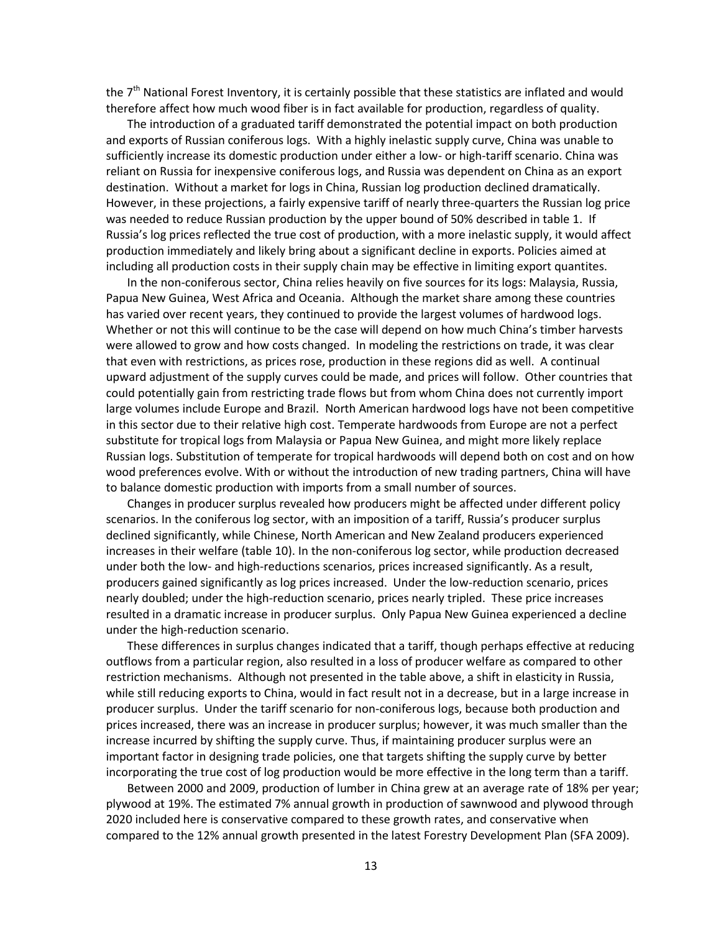the 7<sup>th</sup> National Forest Inventory, it is certainly possible that these statistics are inflated and would therefore affect how much wood fiber is in fact available for production, regardless of quality.

The introduction of a graduated tariff demonstrated the potential impact on both production and exports of Russian coniferous logs. With a highly inelastic supply curve, China was unable to sufficiently increase its domestic production under either a low- or high-tariff scenario. China was reliant on Russia for inexpensive coniferous logs, and Russia was dependent on China as an export destination. Without a market for logs in China, Russian log production declined dramatically. However, in these projections, a fairly expensive tariff of nearly three-quarters the Russian log price was needed to reduce Russian production by the upper bound of 50% described in table 1. If Russia's log prices reflected the true cost of production, with a more inelastic supply, it would affect production immediately and likely bring about a significant decline in exports. Policies aimed at including all production costs in their supply chain may be effective in limiting export quantites.

In the non-coniferous sector, China relies heavily on five sources for its logs: Malaysia, Russia, Papua New Guinea, West Africa and Oceania. Although the market share among these countries has varied over recent years, they continued to provide the largest volumes of hardwood logs. Whether or not this will continue to be the case will depend on how much China's timber harvests were allowed to grow and how costs changed. In modeling the restrictions on trade, it was clear that even with restrictions, as prices rose, production in these regions did as well. A continual upward adjustment of the supply curves could be made, and prices will follow. Other countries that could potentially gain from restricting trade flows but from whom China does not currently import large volumes include Europe and Brazil. North American hardwood logs have not been competitive in this sector due to their relative high cost. Temperate hardwoods from Europe are not a perfect substitute for tropical logs from Malaysia or Papua New Guinea, and might more likely replace Russian logs. Substitution of temperate for tropical hardwoods will depend both on cost and on how wood preferences evolve. With or without the introduction of new trading partners, China will have to balance domestic production with imports from a small number of sources.

Changes in producer surplus revealed how producers might be affected under different policy scenarios. In the coniferous log sector, with an imposition of a tariff, Russia's producer surplus declined significantly, while Chinese, North American and New Zealand producers experienced increases in their welfare (table 10). In the non-coniferous log sector, while production decreased under both the low- and high-reductions scenarios, prices increased significantly. As a result, producers gained significantly as log prices increased. Under the low-reduction scenario, prices nearly doubled; under the high-reduction scenario, prices nearly tripled. These price increases resulted in a dramatic increase in producer surplus. Only Papua New Guinea experienced a decline under the high-reduction scenario.

These differences in surplus changes indicated that a tariff, though perhaps effective at reducing outflows from a particular region, also resulted in a loss of producer welfare as compared to other restriction mechanisms. Although not presented in the table above, a shift in elasticity in Russia, while still reducing exports to China, would in fact result not in a decrease, but in a large increase in producer surplus. Under the tariff scenario for non-coniferous logs, because both production and prices increased, there was an increase in producer surplus; however, it was much smaller than the increase incurred by shifting the supply curve. Thus, if maintaining producer surplus were an important factor in designing trade policies, one that targets shifting the supply curve by better incorporating the true cost of log production would be more effective in the long term than a tariff.

Between 2000 and 2009, production of lumber in China grew at an average rate of 18% per year; plywood at 19%. The estimated 7% annual growth in production of sawnwood and plywood through 2020 included here is conservative compared to these growth rates, and conservative when compared to the 12% annual growth presented in the latest Forestry Development Plan (SFA 2009).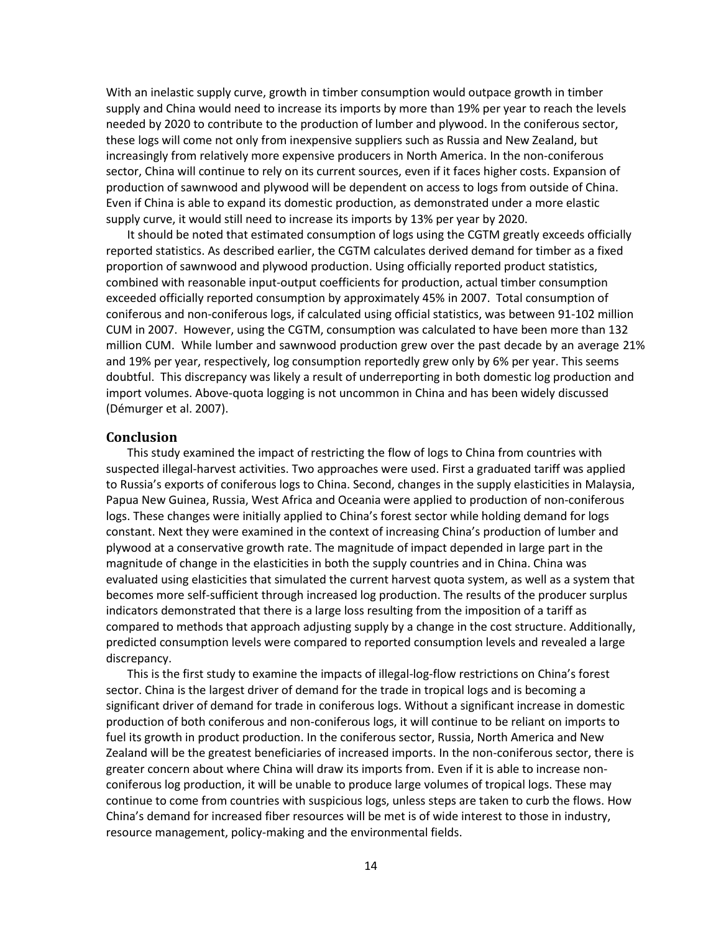With an inelastic supply curve, growth in timber consumption would outpace growth in timber supply and China would need to increase its imports by more than 19% per year to reach the levels needed by 2020 to contribute to the production of lumber and plywood. In the coniferous sector, these logs will come not only from inexpensive suppliers such as Russia and New Zealand, but increasingly from relatively more expensive producers in North America. In the non-coniferous sector, China will continue to rely on its current sources, even if it faces higher costs. Expansion of production of sawnwood and plywood will be dependent on access to logs from outside of China. Even if China is able to expand its domestic production, as demonstrated under a more elastic supply curve, it would still need to increase its imports by 13% per year by 2020.

It should be noted that estimated consumption of logs using the CGTM greatly exceeds officially reported statistics. As described earlier, the CGTM calculates derived demand for timber as a fixed proportion of sawnwood and plywood production. Using officially reported product statistics, combined with reasonable input-output coefficients for production, actual timber consumption exceeded officially reported consumption by approximately 45% in 2007. Total consumption of coniferous and non-coniferous logs, if calculated using official statistics, was between 91-102 million CUM in 2007. However, using the CGTM, consumption was calculated to have been more than 132 million CUM. While lumber and sawnwood production grew over the past decade by an average 21% and 19% per year, respectively, log consumption reportedly grew only by 6% per year. This seems doubtful. This discrepancy was likely a result of underreporting in both domestic log production and import volumes. Above-quota logging is not uncommon in China and has been widely discussed (Démurger et al. 2007).

#### **Conclusion**

This study examined the impact of restricting the flow of logs to China from countries with suspected illegal-harvest activities. Two approaches were used. First a graduated tariff was applied to Russia's exports of coniferous logs to China. Second, changes in the supply elasticities in Malaysia, Papua New Guinea, Russia, West Africa and Oceania were applied to production of non-coniferous logs. These changes were initially applied to China's forest sector while holding demand for logs constant. Next they were examined in the context of increasing China's production of lumber and plywood at a conservative growth rate. The magnitude of impact depended in large part in the magnitude of change in the elasticities in both the supply countries and in China. China was evaluated using elasticities that simulated the current harvest quota system, as well as a system that becomes more self-sufficient through increased log production. The results of the producer surplus indicators demonstrated that there is a large loss resulting from the imposition of a tariff as compared to methods that approach adjusting supply by a change in the cost structure. Additionally, predicted consumption levels were compared to reported consumption levels and revealed a large discrepancy.

This is the first study to examine the impacts of illegal-log-flow restrictions on China's forest sector. China is the largest driver of demand for the trade in tropical logs and is becoming a significant driver of demand for trade in coniferous logs. Without a significant increase in domestic production of both coniferous and non-coniferous logs, it will continue to be reliant on imports to fuel its growth in product production. In the coniferous sector, Russia, North America and New Zealand will be the greatest beneficiaries of increased imports. In the non-coniferous sector, there is greater concern about where China will draw its imports from. Even if it is able to increase nonconiferous log production, it will be unable to produce large volumes of tropical logs. These may continue to come from countries with suspicious logs, unless steps are taken to curb the flows. How China's demand for increased fiber resources will be met is of wide interest to those in industry, resource management, policy-making and the environmental fields.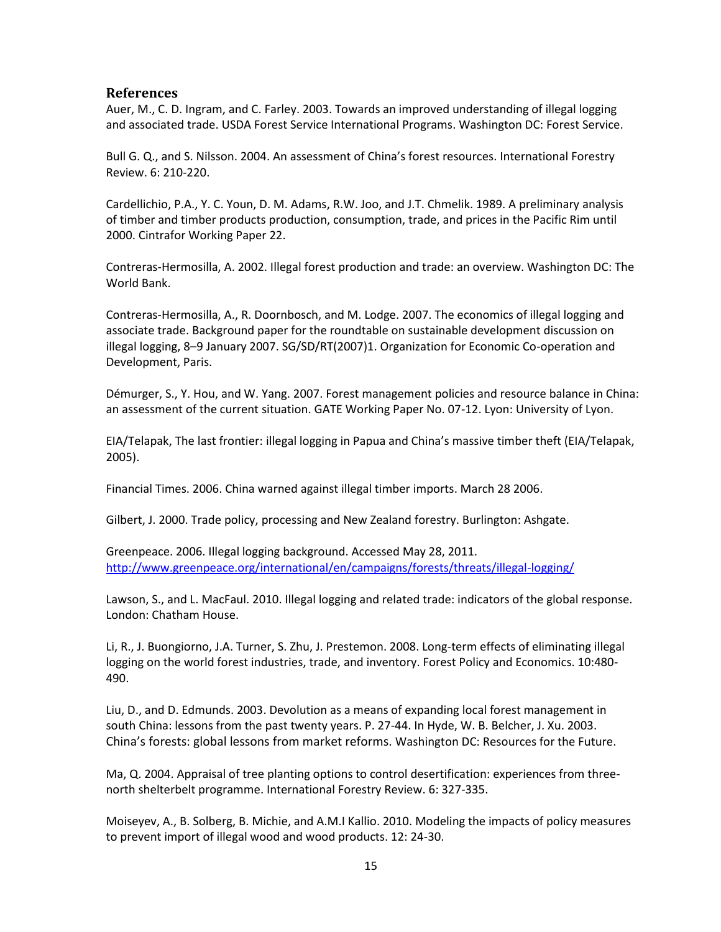### **References**

Auer, M., C. D. Ingram, and C. Farley. 2003. Towards an improved understanding of illegal logging and associated trade. USDA Forest Service International Programs. Washington DC: Forest Service.

Bull G. Q., and S. Nilsson. 2004. An assessment of China's forest resources. International Forestry Review. 6: 210-220.

Cardellichio, P.A., Y. C. Youn, D. M. Adams, R.W. Joo, and J.T. Chmelik. 1989. A preliminary analysis of timber and timber products production, consumption, trade, and prices in the Pacific Rim until 2000. Cintrafor Working Paper 22.

Contreras-Hermosilla, A. 2002. Illegal forest production and trade: an overview. Washington DC: The World Bank.

Contreras-Hermosilla, A., R. Doornbosch, and M. Lodge. 2007. The economics of illegal logging and associate trade. Background paper for the roundtable on sustainable development discussion on illegal logging, 8–9 January 2007. SG/SD/RT(2007)1. Organization for Economic Co-operation and Development, Paris.

Démurger, S., Y. Hou, and W. Yang. 2007. Forest management policies and resource balance in China: an assessment of the current situation. GATE Working Paper No. 07-12. Lyon: University of Lyon.

EIA/Telapak, The last frontier: illegal logging in Papua and China's massive timber theft (EIA/Telapak, 2005).

Financial Times. 2006. China warned against illegal timber imports. March 28 2006.

Gilbert, J. 2000. Trade policy, processing and New Zealand forestry. Burlington: Ashgate.

Greenpeace. 2006. Illegal logging background. Accessed May 28, 2011. <http://www.greenpeace.org/international/en/campaigns/forests/threats/illegal-logging/>

Lawson, S., and L. MacFaul. 2010. Illegal logging and related trade: indicators of the global response. London: Chatham House.

Li, R., J. Buongiorno, J.A. Turner, S. Zhu, J. Prestemon. 2008. Long-term effects of eliminating illegal logging on the world forest industries, trade, and inventory. Forest Policy and Economics. 10:480- 490.

Liu, D., and D. Edmunds. 2003. Devolution as a means of expanding local forest management in south China: lessons from the past twenty years. P. 27-44. In Hyde, W. B. Belcher, J. Xu. 2003. China's forests: global lessons from market reforms. Washington DC: Resources for the Future.

Ma, Q. 2004. Appraisal of tree planting options to control desertification: experiences from threenorth shelterbelt programme. International Forestry Review. 6: 327-335.

Moiseyev, A., B. Solberg, B. Michie, and A.M.I Kallio. 2010. Modeling the impacts of policy measures to prevent import of illegal wood and wood products. 12: 24-30.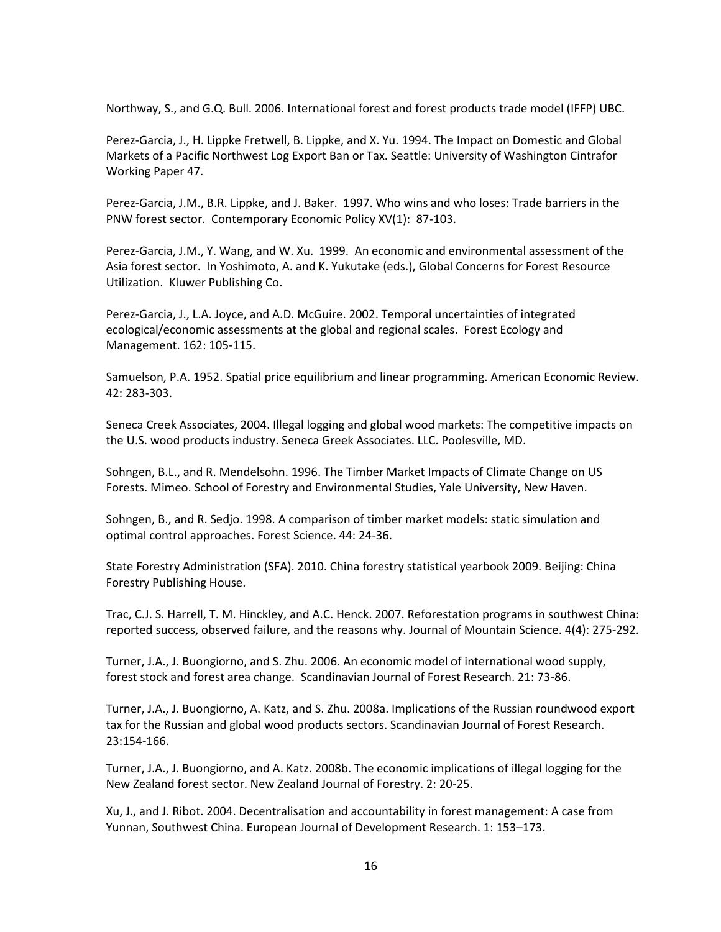Northway, S., and G.Q. Bull. 2006. International forest and forest products trade model (IFFP) UBC.

Perez-Garcia, J., H. Lippke Fretwell, B. Lippke, and X. Yu. 1994. The Impact on Domestic and Global Markets of a Pacific Northwest Log Export Ban or Tax. Seattle: University of Washington Cintrafor Working Paper 47.

Perez-Garcia, J.M., B.R. Lippke, and J. Baker. 1997. Who wins and who loses: Trade barriers in the PNW forest sector. Contemporary Economic Policy XV(1): 87-103.

Perez-Garcia, J.M., Y. Wang, and W. Xu. 1999. An economic and environmental assessment of the Asia forest sector. In Yoshimoto, A. and K. Yukutake (eds.), Global Concerns for Forest Resource Utilization. Kluwer Publishing Co.

Perez-Garcia, J., L.A. Joyce, and A.D. McGuire. 2002. Temporal uncertainties of integrated ecological/economic assessments at the global and regional scales. Forest Ecology and Management. 162: 105-115.

Samuelson, P.A. 1952. Spatial price equilibrium and linear programming. American Economic Review. 42: 283-303.

Seneca Creek Associates, 2004. Illegal logging and global wood markets: The competitive impacts on the U.S. wood products industry. Seneca Greek Associates. LLC. Poolesville, MD.

Sohngen, B.L., and R. Mendelsohn. 1996. The Timber Market Impacts of Climate Change on US Forests. Mimeo. School of Forestry and Environmental Studies, Yale University, New Haven.

Sohngen, B., and R. Sedjo. 1998. A comparison of timber market models: static simulation and optimal control approaches. Forest Science. 44: 24-36.

State Forestry Administration (SFA). 2010. China forestry statistical yearbook 2009. Beijing: China Forestry Publishing House.

Trac, C.J. S. Harrell, T. M. Hinckley, and A.C. Henck. 2007. Reforestation programs in southwest China: reported success, observed failure, and the reasons why. Journal of Mountain Science. 4(4): 275-292.

Turner, J.A., J. Buongiorno, and S. Zhu. 2006. An economic model of international wood supply, forest stock and forest area change. Scandinavian Journal of Forest Research. 21: 73-86.

Turner, J.A., J. Buongiorno, A. Katz, and S. Zhu. 2008a. Implications of the Russian roundwood export tax for the Russian and global wood products sectors. Scandinavian Journal of Forest Research. 23:154-166.

Turner, J.A., J. Buongiorno, and A. Katz. 2008b. The economic implications of illegal logging for the New Zealand forest sector. New Zealand Journal of Forestry. 2: 20-25.

Xu, J., and J. Ribot. 2004. Decentralisation and accountability in forest management: A case from Yunnan, Southwest China. European Journal of Development Research. 1: 153–173.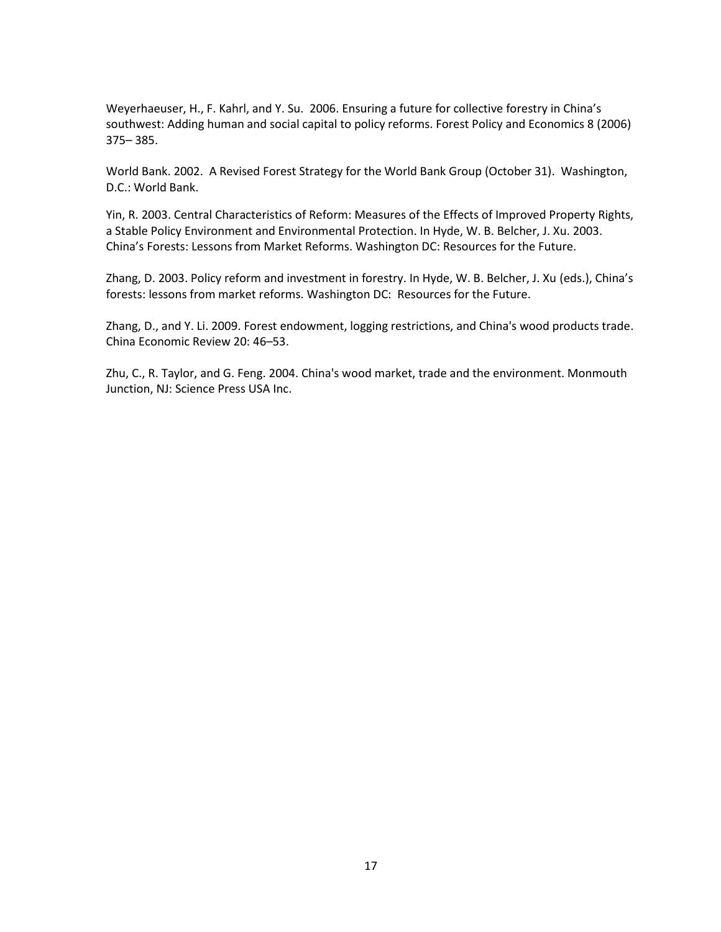Weyerhaeuser, H., F. Kahrl, and Y. Su. 2006. Ensuring a future for collective forestry in China's southwest: Adding human and social capital to policy reforms. Forest Policy and Economics 8 (2006) 375– 385.

World Bank. 2002. A Revised Forest Strategy for the World Bank Group (October 31). Washington, D.C.: World Bank.

Yin, R. 2003. Central Characteristics of Reform: Measures of the Effects of Improved Property Rights, a Stable Policy Environment and Environmental Protection. In Hyde, W. B. Belcher, J. Xu. 2003. China's Forests: Lessons from Market Reforms. Washington DC: Resources for the Future.

Zhang, D. 2003. Policy reform and investment in forestry. In Hyde, W. B. Belcher, J. Xu (eds.), China's forests: lessons from market reforms. Washington DC: Resources for the Future.

Zhang, D., and Y. Li. 2009. Forest endowment, logging restrictions, and China's wood products trade. China Economic Review 20: 46–53.

Zhu, C., R. Taylor, and G. Feng. 2004. China's wood market, trade and the environment. Monmouth Junction, NJ: Science Press USA Inc.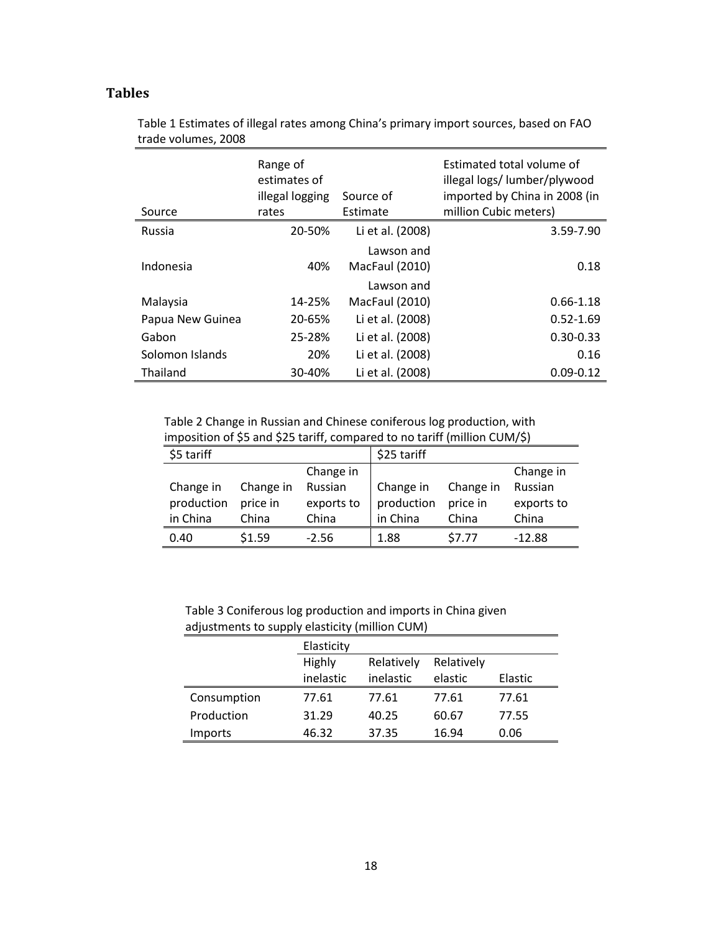## **Tables**

| Source           | Range of<br>estimates of<br>illegal logging<br>rates | Source of<br>Estimate                      | Estimated total volume of<br>illegal logs/ lumber/plywood<br>imported by China in 2008 (in<br>million Cubic meters) |
|------------------|------------------------------------------------------|--------------------------------------------|---------------------------------------------------------------------------------------------------------------------|
| Russia           | 20-50%                                               | Li et al. (2008)                           | 3.59-7.90                                                                                                           |
| Indonesia        | 40%                                                  | Lawson and<br>MacFaul (2010)<br>Lawson and | 0.18                                                                                                                |
| Malaysia         | 14-25%                                               | MacFaul (2010)                             | $0.66 - 1.18$                                                                                                       |
| Papua New Guinea | 20-65%                                               | Li et al. (2008)                           | $0.52 - 1.69$                                                                                                       |
| Gabon            | 25-28%                                               | Li et al. (2008)                           | $0.30 - 0.33$                                                                                                       |
| Solomon Islands  | 20%                                                  | Li et al. (2008)                           | 0.16                                                                                                                |
| Thailand         | 30-40%                                               | Li et al. (2008)                           | $0.09 - 0.12$                                                                                                       |

Table 1 Estimates of illegal rates among China's primary import sources, based on FAO trade volumes, 2008

Table 2 Change in Russian and Chinese coniferous log production, with imposition of \$5 and \$25 tariff, compared to no tariff (million CUM/\$)

| \$5 tariff |           |            | \$25 tariff |           |            |
|------------|-----------|------------|-------------|-----------|------------|
|            |           | Change in  |             |           | Change in  |
| Change in  | Change in | Russian    | Change in   | Change in | Russian    |
| production | price in  | exports to | production  | price in  | exports to |
| in China   | China     | China      | in China    | China     | China      |
| 0.40       | \$1.59    | $-2.56$    | 1.88        | \$7.77    | $-12.88$   |

Table 3 Coniferous log production and imports in China given adjustments to supply elasticity (million CUM)

|                | Elasticity |            |            |         |
|----------------|------------|------------|------------|---------|
|                | Highly     | Relatively | Relatively |         |
|                | inelastic  | inelastic  | elastic    | Elastic |
| Consumption    | 77.61      | 77.61      | 77.61      | 77.61   |
| Production     | 31.29      | 40.25      | 60.67      | 77.55   |
| <b>Imports</b> | 46.32      | 37.35      | 16.94      | 0.06    |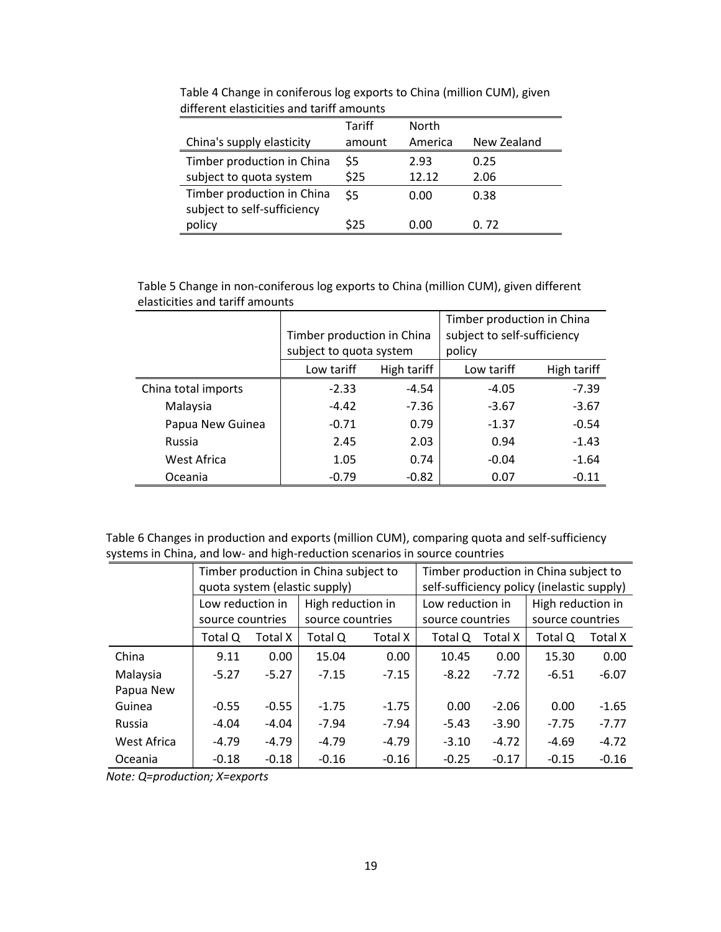|                                                           | Tariff | <b>North</b> |             |
|-----------------------------------------------------------|--------|--------------|-------------|
| China's supply elasticity                                 | amount | America      | New Zealand |
| Timber production in China                                | \$5    | 2.93         | 0.25        |
| subject to quota system                                   | \$25   | 12.12        | 2.06        |
| Timber production in China<br>subject to self-sufficiency | \$5    | 0.00         | 0.38        |
| policy                                                    | \$25   | 0.00         | 0.72        |

Table 4 Change in coniferous log exports to China (million CUM), given different elasticities and tariff amounts

Table 5 Change in non-coniferous log exports to China (million CUM), given different elasticities and tariff amounts

|                     |                            |             | Timber production in China  |             |  |
|---------------------|----------------------------|-------------|-----------------------------|-------------|--|
|                     | Timber production in China |             | subject to self-sufficiency |             |  |
|                     | subject to quota system    |             | policy                      |             |  |
|                     | Low tariff                 | High tariff | Low tariff                  | High tariff |  |
| China total imports | $-2.33$                    | $-4.54$     | $-4.05$                     | $-7.39$     |  |
| Malaysia            | $-4.42$                    | $-7.36$     | $-3.67$                     | $-3.67$     |  |
| Papua New Guinea    | $-0.71$                    | 0.79        | $-1.37$                     | $-0.54$     |  |
| Russia              | 2.45                       | 2.03        | 0.94                        | $-1.43$     |  |
| West Africa         | 1.05                       | 0.74        | $-0.04$                     | $-1.64$     |  |
| Oceania             | $-0.79$                    | $-0.82$     | 0.07                        | $-0.11$     |  |

Table 6 Changes in production and exports (million CUM), comparing quota and self-sufficiency systems in China, and low- and high-reduction scenarios in source countries

|             | Timber production in China subject to |         |                               |         | Timber production in China subject to |                  |                                            |                  |  |
|-------------|---------------------------------------|---------|-------------------------------|---------|---------------------------------------|------------------|--------------------------------------------|------------------|--|
|             |                                       |         | quota system (elastic supply) |         |                                       |                  | self-sufficiency policy (inelastic supply) |                  |  |
|             | Low reduction in                      |         | High reduction in             |         | Low reduction in                      |                  | High reduction in                          |                  |  |
|             | source countries                      |         | source countries              |         |                                       | source countries |                                            | source countries |  |
|             | Total Q                               | Total X | Total Q<br>Total X            |         | Total Q                               | Total X          | Total Q                                    | Total X          |  |
| China       | 9.11                                  | 0.00    | 15.04                         | 0.00    | 10.45                                 | 0.00             | 15.30                                      | 0.00             |  |
| Malaysia    | $-5.27$                               | $-5.27$ | $-7.15$                       | $-7.15$ | $-8.22$                               | $-7.72$          | $-6.51$                                    | $-6.07$          |  |
| Papua New   |                                       |         |                               |         |                                       |                  |                                            |                  |  |
| Guinea      | $-0.55$                               | $-0.55$ | $-1.75$                       | $-1.75$ | 0.00                                  | $-2.06$          | 0.00                                       | $-1.65$          |  |
| Russia      | $-4.04$                               | $-4.04$ | $-7.94$                       | $-7.94$ | $-5.43$                               | $-3.90$          | $-7.75$                                    | $-7.77$          |  |
| West Africa | $-4.79$                               | $-4.79$ | $-4.79$                       | $-4.79$ | $-3.10$                               | $-4.72$          | $-4.69$                                    | $-4.72$          |  |
| Oceania     | $-0.18$                               | $-0.18$ | $-0.16$                       | $-0.16$ | $-0.25$                               | $-0.17$          | $-0.15$                                    | $-0.16$          |  |

*Note: Q=production; X=exports*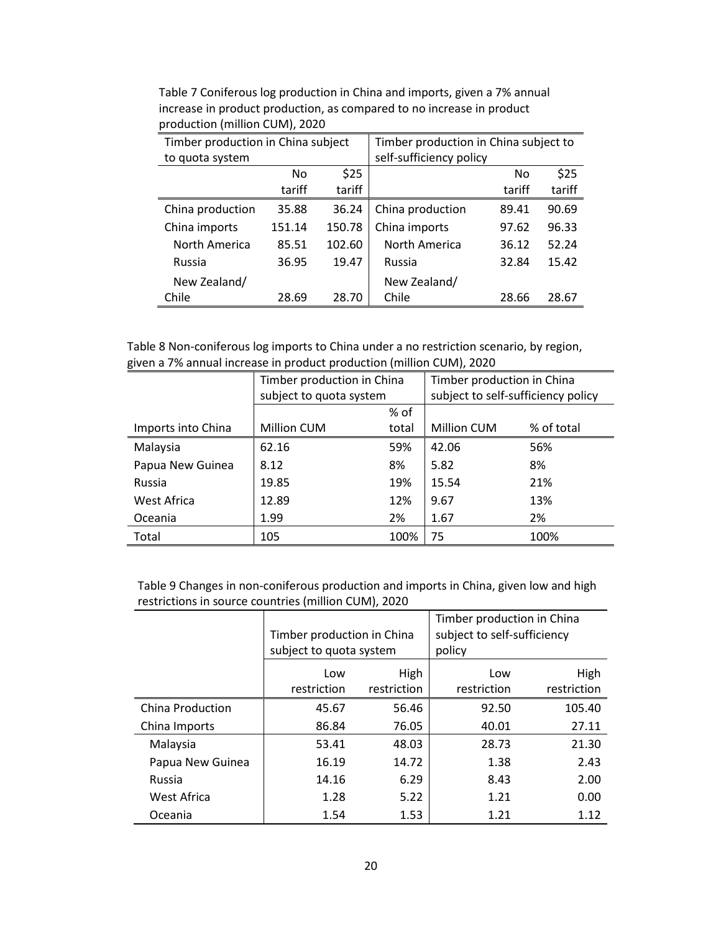| Timber production in China subject |                |        | Timber production in China subject to |        |        |  |
|------------------------------------|----------------|--------|---------------------------------------|--------|--------|--|
| to quota system                    |                |        | self-sufficiency policy               |        |        |  |
|                                    | N <sub>0</sub> | \$25   |                                       | No     | \$25   |  |
|                                    | tariff         | tariff |                                       | tariff | tariff |  |
| China production                   | 35.88          | 36.24  | China production                      | 89.41  | 90.69  |  |
| China imports                      | 151.14         | 150.78 | China imports                         | 97.62  | 96.33  |  |
| North America                      | 85.51          | 102.60 | North America                         | 36.12  | 52.24  |  |
| Russia                             | 36.95          | 19.47  | Russia                                | 32.84  | 15.42  |  |
| New Zealand/                       |                |        | New Zealand/                          |        |        |  |
| Chile                              | 28.69          | 28.70  | Chile                                 | 28.66  | 28.67  |  |

Table 7 Coniferous log production in China and imports, given a 7% annual increase in product production, as compared to no increase in product production (million CUM), 2020

| Table 8 Non-coniferous log imports to China under a no restriction scenario, by region, |  |
|-----------------------------------------------------------------------------------------|--|
| given a 7% annual increase in product production (million CUM), 2020                    |  |

|                    | Timber production in China |       | Timber production in China         |            |  |
|--------------------|----------------------------|-------|------------------------------------|------------|--|
|                    | subject to quota system    |       | subject to self-sufficiency policy |            |  |
|                    |                            | % of  |                                    |            |  |
| Imports into China | <b>Million CUM</b>         | total | <b>Million CUM</b>                 | % of total |  |
| Malaysia           | 62.16                      | 59%   | 42.06                              | 56%        |  |
| Papua New Guinea   | 8.12                       | 8%    | 5.82                               | 8%         |  |
| Russia             | 19.85                      | 19%   | 15.54                              | 21%        |  |
| West Africa        | 12.89                      | 12%   | 9.67                               | 13%        |  |
| Oceania            | 1.99                       | 2%    | 1.67                               | 2%         |  |
| Total              | 105                        | 100%  | 75                                 | 100%       |  |

Table 9 Changes in non-coniferous production and imports in China, given low and high restrictions in source countries (million CUM), 2020

|                  |                            |             | Timber production in China  |             |  |
|------------------|----------------------------|-------------|-----------------------------|-------------|--|
|                  | Timber production in China |             | subject to self-sufficiency |             |  |
|                  | subject to quota system    |             | policy                      |             |  |
|                  | High<br>Low                |             | Low                         | High        |  |
|                  | restriction                | restriction | restriction                 | restriction |  |
| China Production | 45.67                      | 56.46       | 92.50                       | 105.40      |  |
| China Imports    | 86.84                      | 76.05       | 40.01                       | 27.11       |  |
| Malaysia         | 53.41                      | 48.03       | 28.73                       | 21.30       |  |
| Papua New Guinea | 16.19                      | 14.72       | 1.38                        | 2.43        |  |
| Russia           | 14.16                      | 6.29        | 8.43                        | 2.00        |  |
| West Africa      | 1.28                       | 5.22        | 1.21                        | 0.00        |  |
| Oceania          | 1.54                       | 1.53        | 1.21                        | 1.12        |  |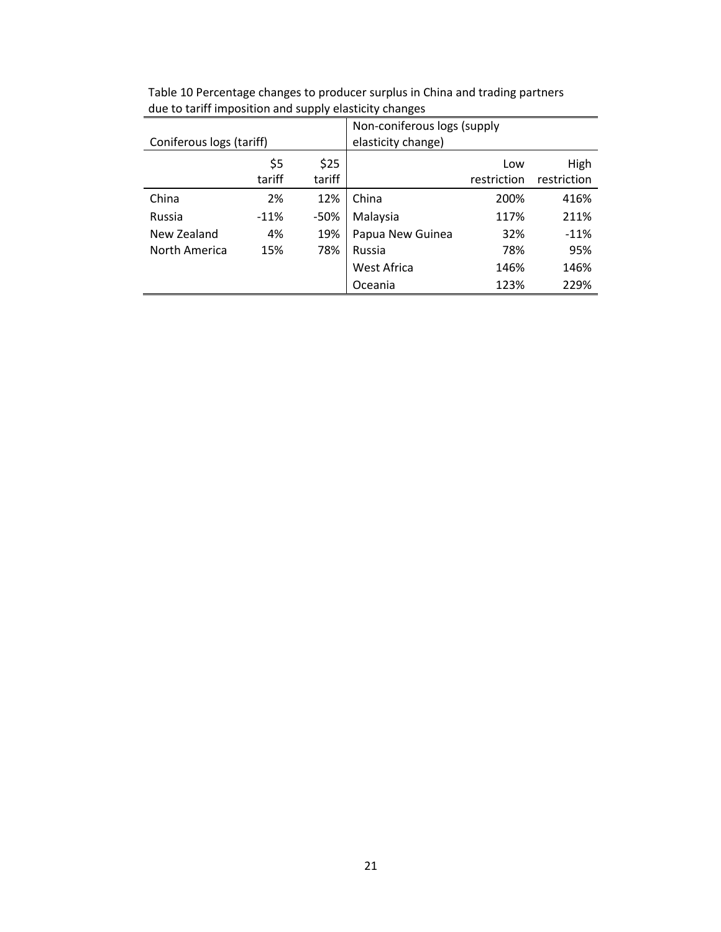| Coniferous logs (tariff) |        |        | Non-coniferous logs (supply<br>elasticity change) |             |             |
|--------------------------|--------|--------|---------------------------------------------------|-------------|-------------|
|                          |        |        |                                                   |             |             |
|                          | \$5    | \$25   |                                                   | Low         | High        |
|                          | tariff | tariff |                                                   | restriction | restriction |
| China                    | 2%     | 12%    | China                                             | 200%        | 416%        |
| Russia                   | $-11%$ | $-50%$ | Malaysia                                          | 117%        | 211%        |
| New Zealand              | 4%     | 19%    | Papua New Guinea                                  | 32%         | $-11%$      |
| North America            | 15%    | 78%    | Russia                                            | 78%         | 95%         |
|                          |        |        | West Africa                                       | 146%        | 146%        |
|                          |        |        | Oceania                                           | 123%        | 229%        |

Table 10 Percentage changes to producer surplus in China and trading partners due to tariff imposition and supply elasticity changes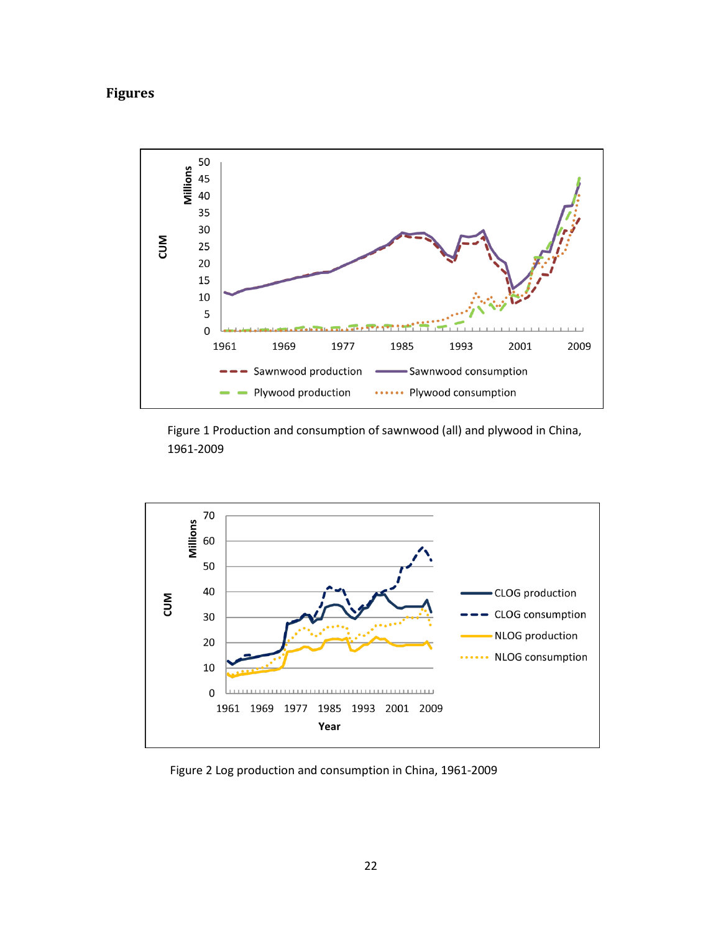## **Figures**



Figure 1 Production and consumption of sawnwood (all) and plywood in China, 1961-2009



Figure 2 Log production and consumption in China, 1961-2009